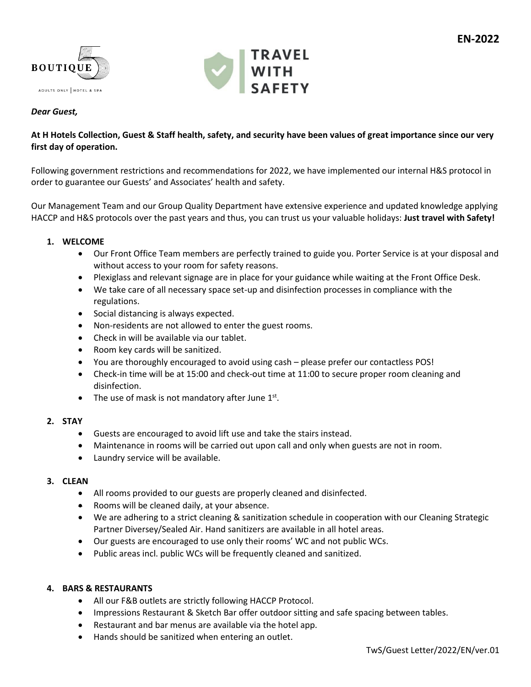



## *Dear Guest,*

## **At H Hotels Collection, Guest & Staff health, safety, and security have been values of great importance since our very first day of operation.**

Following government restrictions and recommendations for 2022, we have implemented our internal H&S protocol in order to guarantee our Guests' and Associates' health and safety.

Our Management Team and our Group Quality Department have extensive experience and updated knowledge applying HACCP and H&S protocols over the past years and thus, you can trust us your valuable holidays: **Just travel with Safety!**

## **1. WELCOME**

- Our Front Office Team members are perfectly trained to guide you. Porter Service is at your disposal and without access to your room for safety reasons.
- Plexiglass and relevant signage are in place for your guidance while waiting at the Front Office Desk.
- We take care of all necessary space set-up and disinfection processes in compliance with the regulations.
- Social distancing is always expected.
- Non-residents are not allowed to enter the guest rooms.
- Check in will be available via our tablet.
- Room key cards will be sanitized.
- You are thoroughly encouraged to avoid using cash please prefer our contactless POS!
- Check-in time will be at 15:00 and check-out time at 11:00 to secure proper room cleaning and disinfection.
- The use of mask is not mandatory after June  $1<sup>st</sup>$ .

## **2. STAY**

- Guests are encouraged to avoid lift use and take the stairs instead.
- Maintenance in rooms will be carried out upon call and only when guests are not in room.
- Laundry service will be available.

## **3. CLEAN**

- All rooms provided to our guests are properly cleaned and disinfected.
- Rooms will be cleaned daily, at your absence.
- We are adhering to a strict cleaning & sanitization schedule in cooperation with our Cleaning Strategic Partner Diversey/Sealed Air. Hand sanitizers are available in all hotel areas.
- Our guests are encouraged to use only their rooms' WC and not public WCs.
- Public areas incl. public WCs will be frequently cleaned and sanitized.

## **4. BARS & RESTAURANTS**

- All our F&B outlets are strictly following HACCP Protocol.
- Impressions Restaurant & Sketch Bar offer outdoor sitting and safe spacing between tables.
- Restaurant and bar menus are available via the hotel app.
- Hands should be sanitized when entering an outlet.